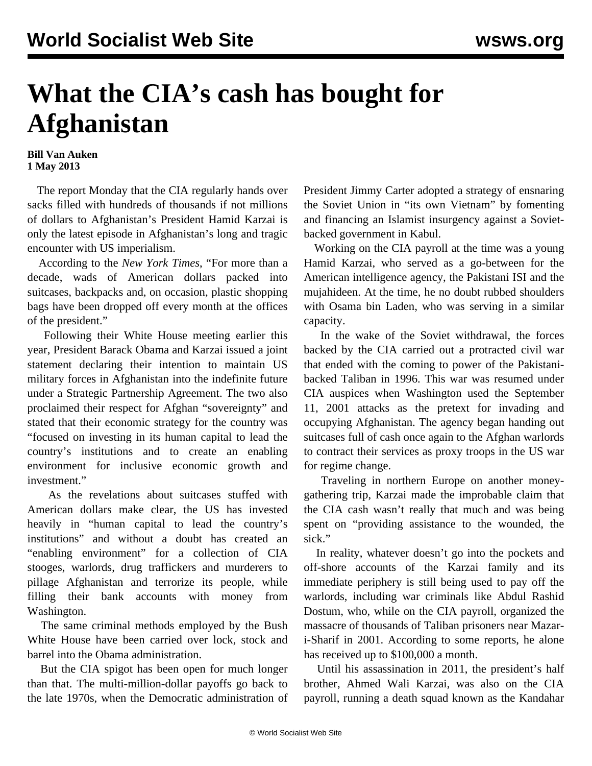## **What the CIA's cash has bought for Afghanistan**

## **Bill Van Auken 1 May 2013**

 The report Monday that the CIA regularly hands over sacks filled with hundreds of thousands if not millions of dollars to Afghanistan's President Hamid Karzai is only the latest episode in Afghanistan's long and tragic encounter with US imperialism.

 According to the *New York Times*, "For more than a decade, wads of American dollars packed into suitcases, backpacks and, on occasion, plastic shopping bags have been dropped off every month at the offices of the president."

 Following their White House meeting earlier this year, President Barack Obama and Karzai issued a joint statement declaring their intention to maintain US military forces in Afghanistan into the indefinite future under a Strategic Partnership Agreement. The two also proclaimed their respect for Afghan "sovereignty" and stated that their economic strategy for the country was "focused on investing in its human capital to lead the country's institutions and to create an enabling environment for inclusive economic growth and investment."

 As the revelations about suitcases stuffed with American dollars make clear, the US has invested heavily in "human capital to lead the country's institutions" and without a doubt has created an "enabling environment" for a collection of CIA stooges, warlords, drug traffickers and murderers to pillage Afghanistan and terrorize its people, while filling their bank accounts with money from Washington.

 The same criminal methods employed by the Bush White House have been carried over lock, stock and barrel into the Obama administration.

 But the CIA spigot has been open for much longer than that. The multi-million-dollar payoffs go back to the late 1970s, when the Democratic administration of President Jimmy Carter adopted a strategy of ensnaring the Soviet Union in "its own Vietnam" by fomenting and financing an Islamist insurgency against a Sovietbacked government in Kabul.

 Working on the CIA payroll at the time was a young Hamid Karzai, who served as a go-between for the American intelligence agency, the Pakistani ISI and the mujahideen. At the time, he no doubt rubbed shoulders with Osama bin Laden, who was serving in a similar capacity.

 In the wake of the Soviet withdrawal, the forces backed by the CIA carried out a protracted civil war that ended with the coming to power of the Pakistanibacked Taliban in 1996. This war was resumed under CIA auspices when Washington used the September 11, 2001 attacks as the pretext for invading and occupying Afghanistan. The agency began handing out suitcases full of cash once again to the Afghan warlords to contract their services as proxy troops in the US war for regime change.

 Traveling in northern Europe on another moneygathering trip, Karzai made the improbable claim that the CIA cash wasn't really that much and was being spent on "providing assistance to the wounded, the sick."

 In reality, whatever doesn't go into the pockets and off-shore accounts of the Karzai family and its immediate periphery is still being used to pay off the warlords, including war criminals like Abdul Rashid Dostum, who, while on the CIA payroll, organized the massacre of thousands of Taliban prisoners near Mazari-Sharif in 2001. According to some reports, he alone has received up to \$100,000 a month.

 Until his assassination in 2011, the president's half brother, Ahmed Wali Karzai, was also on the CIA payroll, running a death squad known as the Kandahar